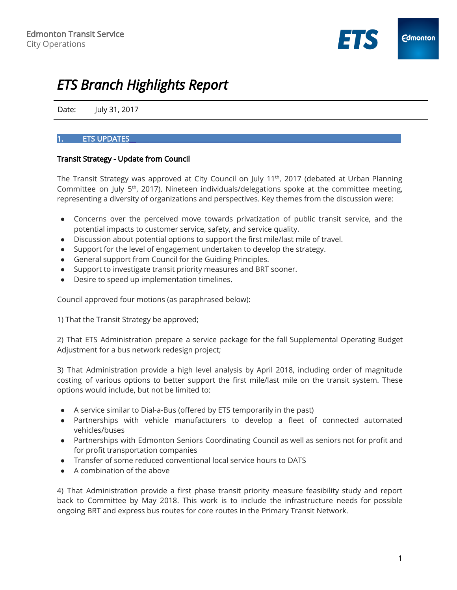

# *ETS Branch Highlights Report*

Date: July 31, 2017

# 1. ETS UPDATES\_\_\_\_\_\_\_\_\_\_\_\_\_\_\_\_\_\_\_\_\_\_\_\_\_\_\_\_\_\_\_\_\_\_\_\_\_\_\_\_\_\_\_\_\_\_\_\_\_\_\_\_\_\_\_\_\_\_\_\_\_\_\_\_\_\_\_\_\_\_\_\_\_\_\_\_\_\_\_\_\_

#### Transit Strategy - Update from Council

The Transit Strategy was approved at City Council on July 11<sup>th</sup>, 2017 (debated at Urban Planning Committee on July 5<sup>th</sup>, 2017). Nineteen individuals/delegations spoke at the committee meeting, representing a diversity of organizations and perspectives. Key themes from the discussion were:

- Concerns over the perceived move towards privatization of public transit service, and the potential impacts to customer service, safety, and service quality.
- Discussion about potential options to support the first mile/last mile of travel.
- Support for the level of engagement undertaken to develop the strategy.
- General support from Council for the Guiding Principles.
- Support to investigate transit priority measures and BRT sooner.
- Desire to speed up implementation timelines.

Council approved four motions (as paraphrased below):

1) That the Transit Strategy be approved;

2) That ETS Administration prepare a service package for the fall Supplemental Operating Budget Adjustment for a bus network redesign project;

3) That Administration provide a high level analysis by April 2018, including order of magnitude costing of various options to better support the first mile/last mile on the transit system. These options would include, but not be limited to:

- A service similar to Dial-a-Bus (offered by ETS temporarily in the past)
- Partnerships with vehicle manufacturers to develop a fleet of connected automated vehicles/buses
- Partnerships with Edmonton Seniors Coordinating Council as well as seniors not for profit and for profit transportation companies
- Transfer of some reduced conventional local service hours to DATS
- A combination of the above

4) That Administration provide a first phase transit priority measure feasibility study and report back to Committee by May 2018. This work is to include the infrastructure needs for possible ongoing BRT and express bus routes for core routes in the Primary Transit Network.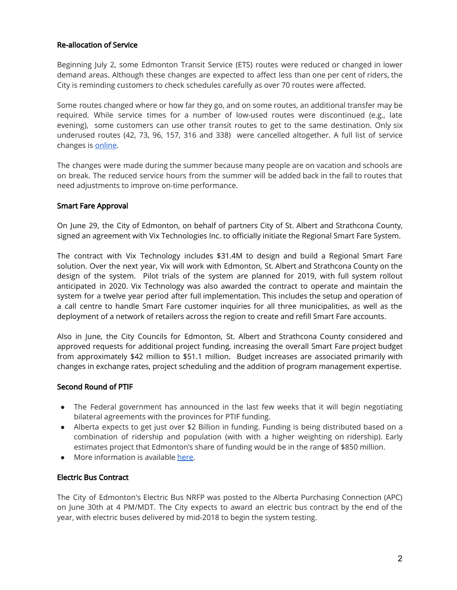### Re-allocation of Service

Beginning July 2, some Edmonton Transit Service (ETS) routes were reduced or changed in lower demand areas. Although these changes are expected to affect less than one per cent of riders, the City is reminding customers to check schedules carefully as over 70 routes were affected.

Some routes changed where or how far they go, and on some routes, an additional transfer may be required. While service times for a number of low-used routes were discontinued (e.g., late evening), some customers can use other transit routes to get to the same destination. Only six underused routes (42, 73, 96, 157, 316 and 338) were cancelled altogether. A full list of service changes is [online.](https://www.edmonton.ca/transportation/transit/Service_Reallocation.pdf)

The changes were made during the summer because many people are on vacation and schools are on break. The reduced service hours from the summer will be added back in the fall to routes that need adjustments to improve on-time performance.

#### Smart Fare Approval

On June 29, the City of Edmonton, on behalf of partners City of St. Albert and Strathcona County, signed an agreement with Vix Technologies Inc. to officially initiate the Regional Smart Fare System.

The contract with Vix Technology includes \$31.4M to design and build a Regional Smart Fare solution. Over the next year, Vix will work with Edmonton, St. Albert and Strathcona County on the design of the system. Pilot trials of the system are planned for 2019, with full system rollout anticipated in 2020. Vix Technology was also awarded the contract to operate and maintain the system for a twelve year period after full implementation. This includes the setup and operation of a call centre to handle Smart Fare customer inquiries for all three municipalities, as well as the deployment of a network of retailers across the region to create and refill Smart Fare accounts.

Also in June, the City Councils for Edmonton, St. Albert and Strathcona County considered and approved requests for additional project funding, increasing the overall Smart Fare project budget from approximately \$42 million to \$51.1 million. Budget increases are associated primarily with changes in exchange rates, project scheduling and the addition of program management expertise.

#### Second Round of PTIF

- The Federal government has announced in the last few weeks that it will begin negotiating bilateral agreements with the provinces for PTIF funding.
- Alberta expects to get just over \$2 Billion in funding. Funding is being distributed based on a combination of ridership and population (with with a higher weighting on ridership). Early estimates project that Edmonton's share of funding would be in the range of \$850 million.
- More information is available [here.](http://www.infrastructure.gc.ca/plan/letters-lettres/pt-ab-eng.html)

#### Electric Bus Contract

The City of Edmonton's Electric Bus NRFP was posted to the Alberta Purchasing Connection (APC) on June 30th at 4 PM/MDT. The City expects to award an electric bus contract by the end of the year, with electric buses delivered by mid-2018 to begin the system testing.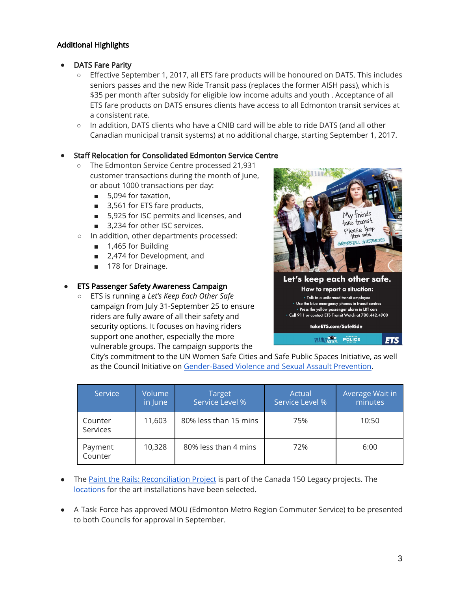## Additional Highlights

- **DATS Fare Parity** 
	- Effective September 1, 2017, all ETS fare products will be honoured on DATS. This includes seniors passes and the new Ride Transit pass (replaces the former AISH pass), which is \$35 per month after subsidy for eligible low income adults and youth . Acceptance of all ETS fare products on DATS ensures clients have access to all Edmonton transit services at a consistent rate.
	- In addition, DATS clients who have a CNIB card will be able to ride DATS (and all other Canadian municipal transit systems) at no additional charge, starting September 1, 2017.

#### **Staff Relocation for Consolidated Edmonton Service Centre**

- The Edmonton Service Centre processed 21,931 customer transactions during the month of June, or about 1000 transactions per day:
	- 5,094 for taxation,
	- 3,561 for ETS fare products,
	- 5,925 for ISC permits and licenses, and
	- 3,234 for other ISC services.
- In addition, other departments processed:
	- 1,465 for Building
	- 2,474 for Development, and
	- 178 for Drainage.

#### **ETS Passenger Safety Awareness Campaign**

○ ETS is running a *Let's Keep Each Other Safe* campaign from July 31-September 25 to ensure riders are fully aware of all their safety and security options. It focuses on having riders support one another, especially the more vulnerable groups. The campaign supports the



City's commitment to the UN Women Safe Cities and Safe Public Spaces Initiative, as well as the Council Initiative on [Gender-Based](https://www.edmonton.ca/city_government/initiatives_innovation/about-gender-based-violence.aspx) Violence and Sexual Assault Prevention.

| Service             | Volume<br>in June | <b>Target</b><br>Service Level % | Actual<br>Service Level % | Average Wait in<br>minutes |
|---------------------|-------------------|----------------------------------|---------------------------|----------------------------|
| Counter<br>Services | 11,603            | 80% less than 15 mins            | 75%                       | 10:50                      |
| Payment<br>Counter  | 10,328            | 80% less than 4 mins             | 72%                       | 6:00                       |

- The Paint the Rails: [Reconciliation](https://drive.google.com/file/d/0B2WC0ntnIie2YnNLbWZLdjFJM2x2V28tR084ZzdOSWxORE40/view) Project is part of the Canada 150 Legacy projects. The [locations](https://drive.google.com/file/d/0B2WC0ntnIie2N1hGcGZQb09EZXRIZy1nclI3TDlsSlhHdFdv/view?usp=sharing) for the art installations have been selected.
- A Task Force has approved MOU (Edmonton Metro Region Commuter Service) to be presented to both Councils for approval in September.